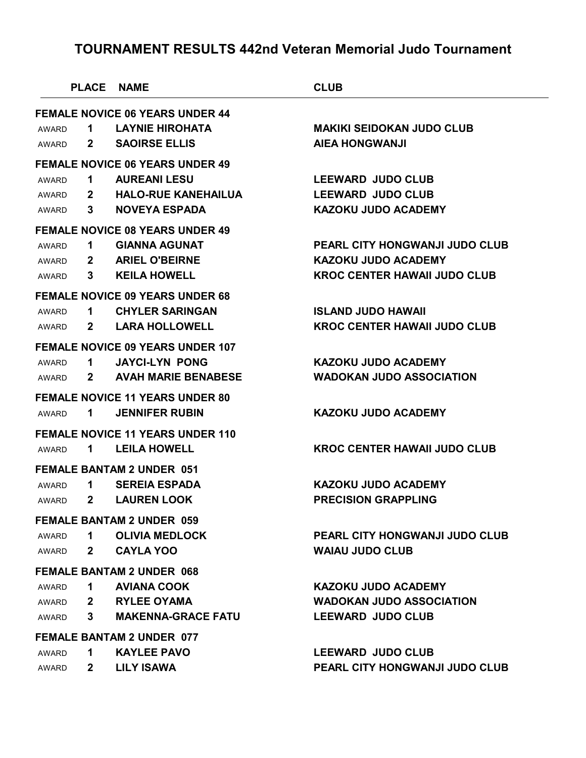| <b>FEMALE NOVICE 06 YEARS UNDER 44</b><br><b>LAYNIE HIROHATA</b><br><b>MAKIKI SEIDOKAN JUDO CLUB</b><br>1<br>AWARD<br><b>SAOIRSE ELLIS</b><br><b>AIEA HONGWANJI</b><br>$\mathbf{2}$<br>AWARD<br><b>FEMALE NOVICE 06 YEARS UNDER 49</b><br><b>AUREANI LESU</b><br><b>LEEWARD JUDO CLUB</b><br>1<br>AWARD<br><b>HALO-RUE KANEHAILUA</b><br><b>LEEWARD JUDO CLUB</b><br>$\mathbf{2}$<br>AWARD<br><b>NOVEYA ESPADA</b><br><b>KAZOKU JUDO ACADEMY</b><br>3<br>AWARD<br><b>FEMALE NOVICE 08 YEARS UNDER 49</b><br><b>GIANNA AGUNAT</b><br>PEARL CITY HONGWANJI JUDO CLUB<br>1.<br>AWARD<br><b>KAZOKU JUDO ACADEMY</b><br><b>ARIEL O'BEIRNE</b><br>$\mathbf{2}$<br>AWARD<br><b>KEILA HOWELL</b><br><b>KROC CENTER HAWAII JUDO CLUB</b><br>3<br>AWARD<br><b>FEMALE NOVICE 09 YEARS UNDER 68</b><br><b>CHYLER SARINGAN</b><br><b>ISLAND JUDO HAWAII</b><br>$\mathbf 1$<br>AWARD<br><b>LARA HOLLOWELL</b><br><b>KROC CENTER HAWAII JUDO CLUB</b><br>$\mathbf{2}$<br>AWARD<br><b>FEMALE NOVICE 09 YEARS UNDER 107</b><br><b>KAZOKU JUDO ACADEMY</b><br><b>JAYCI-LYN PONG</b><br>1<br>AWARD<br><b>AVAH MARIE BENABESE</b><br><b>WADOKAN JUDO ASSOCIATION</b><br>$\mathbf{2}$<br>AWARD<br><b>FEMALE NOVICE 11 YEARS UNDER 80</b><br><b>KAZOKU JUDO ACADEMY</b><br><b>JENNIFER RUBIN</b><br>1<br><b>FEMALE NOVICE 11 YEARS UNDER 110</b><br><b>LEILA HOWELL</b><br><b>KROC CENTER HAWAII JUDO CLUB</b><br>$\mathbf 1$<br><b>FEMALE BANTAM 2 UNDER 051</b><br><b>KAZOKU JUDO ACADEMY</b><br><b>SEREIA ESPADA</b><br>1<br>AWARD<br><b>PRECISION GRAPPLING</b><br><b>LAUREN LOOK</b><br>$\mathbf{2}$<br>AWARD<br><b>FEMALE BANTAM 2 UNDER 059</b><br><b>OLIVIA MEDLOCK</b><br><b>PEARL CITY HONGWANJI JUDO CLUB</b><br>$\mathbf 1$<br>AWARD<br><b>CAYLA YOO</b><br><b>WAIAU JUDO CLUB</b><br>$\mathbf{2}$<br>AWARD<br><b>FEMALE BANTAM 2 UNDER 068</b><br><b>AVIANA COOK</b><br><b>KAZOKU JUDO ACADEMY</b><br>$\mathbf 1$<br>AWARD<br><b>RYLEE OYAMA</b><br><b>WADOKAN JUDO ASSOCIATION</b><br>$2^{\circ}$<br>AWARD<br><b>MAKENNA-GRACE FATU</b><br><b>LEEWARD JUDO CLUB</b><br>3<br>AWARD<br><b>FEMALE BANTAM 2 UNDER 077</b><br><b>KAYLEE PAVO</b><br><b>LEEWARD JUDO CLUB</b><br>1<br>AWARD<br><b>LILY ISAWA</b><br>PEARL CITY HONGWANJI JUDO CLUB<br>$\mathbf{2}$<br>AWARD |       | <b>PLACE NAME</b> | <b>CLUB</b> |
|---------------------------------------------------------------------------------------------------------------------------------------------------------------------------------------------------------------------------------------------------------------------------------------------------------------------------------------------------------------------------------------------------------------------------------------------------------------------------------------------------------------------------------------------------------------------------------------------------------------------------------------------------------------------------------------------------------------------------------------------------------------------------------------------------------------------------------------------------------------------------------------------------------------------------------------------------------------------------------------------------------------------------------------------------------------------------------------------------------------------------------------------------------------------------------------------------------------------------------------------------------------------------------------------------------------------------------------------------------------------------------------------------------------------------------------------------------------------------------------------------------------------------------------------------------------------------------------------------------------------------------------------------------------------------------------------------------------------------------------------------------------------------------------------------------------------------------------------------------------------------------------------------------------------------------------------------------------------------------------------------------------------------------------------------------------------------------------------------------------------------------------------------------------------------------------------------------------------------------------------------------------|-------|-------------------|-------------|
|                                                                                                                                                                                                                                                                                                                                                                                                                                                                                                                                                                                                                                                                                                                                                                                                                                                                                                                                                                                                                                                                                                                                                                                                                                                                                                                                                                                                                                                                                                                                                                                                                                                                                                                                                                                                                                                                                                                                                                                                                                                                                                                                                                                                                                                               |       |                   |             |
|                                                                                                                                                                                                                                                                                                                                                                                                                                                                                                                                                                                                                                                                                                                                                                                                                                                                                                                                                                                                                                                                                                                                                                                                                                                                                                                                                                                                                                                                                                                                                                                                                                                                                                                                                                                                                                                                                                                                                                                                                                                                                                                                                                                                                                                               |       |                   |             |
|                                                                                                                                                                                                                                                                                                                                                                                                                                                                                                                                                                                                                                                                                                                                                                                                                                                                                                                                                                                                                                                                                                                                                                                                                                                                                                                                                                                                                                                                                                                                                                                                                                                                                                                                                                                                                                                                                                                                                                                                                                                                                                                                                                                                                                                               |       |                   |             |
|                                                                                                                                                                                                                                                                                                                                                                                                                                                                                                                                                                                                                                                                                                                                                                                                                                                                                                                                                                                                                                                                                                                                                                                                                                                                                                                                                                                                                                                                                                                                                                                                                                                                                                                                                                                                                                                                                                                                                                                                                                                                                                                                                                                                                                                               |       |                   |             |
|                                                                                                                                                                                                                                                                                                                                                                                                                                                                                                                                                                                                                                                                                                                                                                                                                                                                                                                                                                                                                                                                                                                                                                                                                                                                                                                                                                                                                                                                                                                                                                                                                                                                                                                                                                                                                                                                                                                                                                                                                                                                                                                                                                                                                                                               |       |                   |             |
|                                                                                                                                                                                                                                                                                                                                                                                                                                                                                                                                                                                                                                                                                                                                                                                                                                                                                                                                                                                                                                                                                                                                                                                                                                                                                                                                                                                                                                                                                                                                                                                                                                                                                                                                                                                                                                                                                                                                                                                                                                                                                                                                                                                                                                                               |       |                   |             |
|                                                                                                                                                                                                                                                                                                                                                                                                                                                                                                                                                                                                                                                                                                                                                                                                                                                                                                                                                                                                                                                                                                                                                                                                                                                                                                                                                                                                                                                                                                                                                                                                                                                                                                                                                                                                                                                                                                                                                                                                                                                                                                                                                                                                                                                               |       |                   |             |
|                                                                                                                                                                                                                                                                                                                                                                                                                                                                                                                                                                                                                                                                                                                                                                                                                                                                                                                                                                                                                                                                                                                                                                                                                                                                                                                                                                                                                                                                                                                                                                                                                                                                                                                                                                                                                                                                                                                                                                                                                                                                                                                                                                                                                                                               |       |                   |             |
|                                                                                                                                                                                                                                                                                                                                                                                                                                                                                                                                                                                                                                                                                                                                                                                                                                                                                                                                                                                                                                                                                                                                                                                                                                                                                                                                                                                                                                                                                                                                                                                                                                                                                                                                                                                                                                                                                                                                                                                                                                                                                                                                                                                                                                                               |       |                   |             |
|                                                                                                                                                                                                                                                                                                                                                                                                                                                                                                                                                                                                                                                                                                                                                                                                                                                                                                                                                                                                                                                                                                                                                                                                                                                                                                                                                                                                                                                                                                                                                                                                                                                                                                                                                                                                                                                                                                                                                                                                                                                                                                                                                                                                                                                               |       |                   |             |
|                                                                                                                                                                                                                                                                                                                                                                                                                                                                                                                                                                                                                                                                                                                                                                                                                                                                                                                                                                                                                                                                                                                                                                                                                                                                                                                                                                                                                                                                                                                                                                                                                                                                                                                                                                                                                                                                                                                                                                                                                                                                                                                                                                                                                                                               |       |                   |             |
|                                                                                                                                                                                                                                                                                                                                                                                                                                                                                                                                                                                                                                                                                                                                                                                                                                                                                                                                                                                                                                                                                                                                                                                                                                                                                                                                                                                                                                                                                                                                                                                                                                                                                                                                                                                                                                                                                                                                                                                                                                                                                                                                                                                                                                                               |       |                   |             |
|                                                                                                                                                                                                                                                                                                                                                                                                                                                                                                                                                                                                                                                                                                                                                                                                                                                                                                                                                                                                                                                                                                                                                                                                                                                                                                                                                                                                                                                                                                                                                                                                                                                                                                                                                                                                                                                                                                                                                                                                                                                                                                                                                                                                                                                               |       |                   |             |
|                                                                                                                                                                                                                                                                                                                                                                                                                                                                                                                                                                                                                                                                                                                                                                                                                                                                                                                                                                                                                                                                                                                                                                                                                                                                                                                                                                                                                                                                                                                                                                                                                                                                                                                                                                                                                                                                                                                                                                                                                                                                                                                                                                                                                                                               |       |                   |             |
|                                                                                                                                                                                                                                                                                                                                                                                                                                                                                                                                                                                                                                                                                                                                                                                                                                                                                                                                                                                                                                                                                                                                                                                                                                                                                                                                                                                                                                                                                                                                                                                                                                                                                                                                                                                                                                                                                                                                                                                                                                                                                                                                                                                                                                                               |       |                   |             |
|                                                                                                                                                                                                                                                                                                                                                                                                                                                                                                                                                                                                                                                                                                                                                                                                                                                                                                                                                                                                                                                                                                                                                                                                                                                                                                                                                                                                                                                                                                                                                                                                                                                                                                                                                                                                                                                                                                                                                                                                                                                                                                                                                                                                                                                               |       |                   |             |
|                                                                                                                                                                                                                                                                                                                                                                                                                                                                                                                                                                                                                                                                                                                                                                                                                                                                                                                                                                                                                                                                                                                                                                                                                                                                                                                                                                                                                                                                                                                                                                                                                                                                                                                                                                                                                                                                                                                                                                                                                                                                                                                                                                                                                                                               |       |                   |             |
|                                                                                                                                                                                                                                                                                                                                                                                                                                                                                                                                                                                                                                                                                                                                                                                                                                                                                                                                                                                                                                                                                                                                                                                                                                                                                                                                                                                                                                                                                                                                                                                                                                                                                                                                                                                                                                                                                                                                                                                                                                                                                                                                                                                                                                                               |       |                   |             |
|                                                                                                                                                                                                                                                                                                                                                                                                                                                                                                                                                                                                                                                                                                                                                                                                                                                                                                                                                                                                                                                                                                                                                                                                                                                                                                                                                                                                                                                                                                                                                                                                                                                                                                                                                                                                                                                                                                                                                                                                                                                                                                                                                                                                                                                               | AWARD |                   |             |
|                                                                                                                                                                                                                                                                                                                                                                                                                                                                                                                                                                                                                                                                                                                                                                                                                                                                                                                                                                                                                                                                                                                                                                                                                                                                                                                                                                                                                                                                                                                                                                                                                                                                                                                                                                                                                                                                                                                                                                                                                                                                                                                                                                                                                                                               |       |                   |             |
|                                                                                                                                                                                                                                                                                                                                                                                                                                                                                                                                                                                                                                                                                                                                                                                                                                                                                                                                                                                                                                                                                                                                                                                                                                                                                                                                                                                                                                                                                                                                                                                                                                                                                                                                                                                                                                                                                                                                                                                                                                                                                                                                                                                                                                                               | AWARD |                   |             |
|                                                                                                                                                                                                                                                                                                                                                                                                                                                                                                                                                                                                                                                                                                                                                                                                                                                                                                                                                                                                                                                                                                                                                                                                                                                                                                                                                                                                                                                                                                                                                                                                                                                                                                                                                                                                                                                                                                                                                                                                                                                                                                                                                                                                                                                               |       |                   |             |
|                                                                                                                                                                                                                                                                                                                                                                                                                                                                                                                                                                                                                                                                                                                                                                                                                                                                                                                                                                                                                                                                                                                                                                                                                                                                                                                                                                                                                                                                                                                                                                                                                                                                                                                                                                                                                                                                                                                                                                                                                                                                                                                                                                                                                                                               |       |                   |             |
|                                                                                                                                                                                                                                                                                                                                                                                                                                                                                                                                                                                                                                                                                                                                                                                                                                                                                                                                                                                                                                                                                                                                                                                                                                                                                                                                                                                                                                                                                                                                                                                                                                                                                                                                                                                                                                                                                                                                                                                                                                                                                                                                                                                                                                                               |       |                   |             |
|                                                                                                                                                                                                                                                                                                                                                                                                                                                                                                                                                                                                                                                                                                                                                                                                                                                                                                                                                                                                                                                                                                                                                                                                                                                                                                                                                                                                                                                                                                                                                                                                                                                                                                                                                                                                                                                                                                                                                                                                                                                                                                                                                                                                                                                               |       |                   |             |
|                                                                                                                                                                                                                                                                                                                                                                                                                                                                                                                                                                                                                                                                                                                                                                                                                                                                                                                                                                                                                                                                                                                                                                                                                                                                                                                                                                                                                                                                                                                                                                                                                                                                                                                                                                                                                                                                                                                                                                                                                                                                                                                                                                                                                                                               |       |                   |             |
|                                                                                                                                                                                                                                                                                                                                                                                                                                                                                                                                                                                                                                                                                                                                                                                                                                                                                                                                                                                                                                                                                                                                                                                                                                                                                                                                                                                                                                                                                                                                                                                                                                                                                                                                                                                                                                                                                                                                                                                                                                                                                                                                                                                                                                                               |       |                   |             |
|                                                                                                                                                                                                                                                                                                                                                                                                                                                                                                                                                                                                                                                                                                                                                                                                                                                                                                                                                                                                                                                                                                                                                                                                                                                                                                                                                                                                                                                                                                                                                                                                                                                                                                                                                                                                                                                                                                                                                                                                                                                                                                                                                                                                                                                               |       |                   |             |
|                                                                                                                                                                                                                                                                                                                                                                                                                                                                                                                                                                                                                                                                                                                                                                                                                                                                                                                                                                                                                                                                                                                                                                                                                                                                                                                                                                                                                                                                                                                                                                                                                                                                                                                                                                                                                                                                                                                                                                                                                                                                                                                                                                                                                                                               |       |                   |             |
|                                                                                                                                                                                                                                                                                                                                                                                                                                                                                                                                                                                                                                                                                                                                                                                                                                                                                                                                                                                                                                                                                                                                                                                                                                                                                                                                                                                                                                                                                                                                                                                                                                                                                                                                                                                                                                                                                                                                                                                                                                                                                                                                                                                                                                                               |       |                   |             |
|                                                                                                                                                                                                                                                                                                                                                                                                                                                                                                                                                                                                                                                                                                                                                                                                                                                                                                                                                                                                                                                                                                                                                                                                                                                                                                                                                                                                                                                                                                                                                                                                                                                                                                                                                                                                                                                                                                                                                                                                                                                                                                                                                                                                                                                               |       |                   |             |
|                                                                                                                                                                                                                                                                                                                                                                                                                                                                                                                                                                                                                                                                                                                                                                                                                                                                                                                                                                                                                                                                                                                                                                                                                                                                                                                                                                                                                                                                                                                                                                                                                                                                                                                                                                                                                                                                                                                                                                                                                                                                                                                                                                                                                                                               |       |                   |             |
|                                                                                                                                                                                                                                                                                                                                                                                                                                                                                                                                                                                                                                                                                                                                                                                                                                                                                                                                                                                                                                                                                                                                                                                                                                                                                                                                                                                                                                                                                                                                                                                                                                                                                                                                                                                                                                                                                                                                                                                                                                                                                                                                                                                                                                                               |       |                   |             |
|                                                                                                                                                                                                                                                                                                                                                                                                                                                                                                                                                                                                                                                                                                                                                                                                                                                                                                                                                                                                                                                                                                                                                                                                                                                                                                                                                                                                                                                                                                                                                                                                                                                                                                                                                                                                                                                                                                                                                                                                                                                                                                                                                                                                                                                               |       |                   |             |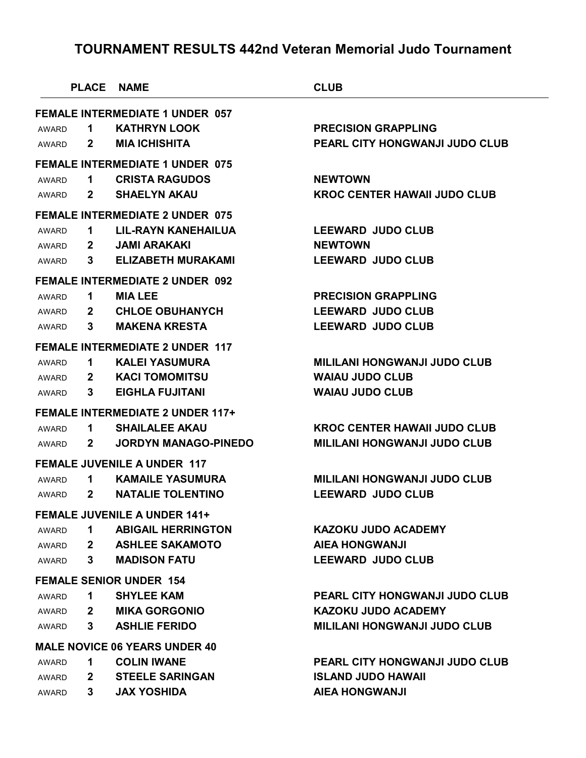| <b>FEMALE INTERMEDIATE 1 UNDER 057</b><br><b>KATHRYN LOOK</b><br><b>PRECISION GRAPPLING</b><br>1<br><b>MIA ICHISHITA</b><br>PEARL CITY HONGWANJI JUDO CLUB<br>$\mathbf{2}$<br><b>FEMALE INTERMEDIATE 1 UNDER 075</b><br><b>CRISTA RAGUDOS</b><br><b>NEWTOWN</b><br>1.<br><b>SHAELYN AKAU</b><br><b>KROC CENTER HAWAII JUDO CLUB</b><br>$\mathbf{2}$<br><b>FEMALE INTERMEDIATE 2 UNDER 075</b><br><b>LEEWARD JUDO CLUB</b><br>LIL-RAYN KANEHAILUA<br>1<br><b>JAMI ARAKAKI</b><br><b>NEWTOWN</b><br>$\mathbf{2}$<br><b>ELIZABETH MURAKAMI</b><br><b>LEEWARD JUDO CLUB</b><br>3<br><b>FEMALE INTERMEDIATE 2 UNDER 092</b><br><b>PRECISION GRAPPLING</b><br><b>MIA LEE</b><br>1.<br><b>LEEWARD JUDO CLUB</b><br><b>CHLOE OBUHANYCH</b><br>$\mathbf{2}$<br><b>MAKENA KRESTA</b><br><b>LEEWARD JUDO CLUB</b><br>3<br><b>FEMALE INTERMEDIATE 2 UNDER 117</b><br><b>KALEI YASUMURA</b><br><b>MILILANI HONGWANJI JUDO CLUB</b><br>1<br><b>KACI TOMOMITSU</b><br><b>WAIAU JUDO CLUB</b><br>$\mathbf{2}$<br><b>WAIAU JUDO CLUB</b><br><b>EIGHLA FUJITANI</b><br>3<br><b>FEMALE INTERMEDIATE 2 UNDER 117+</b><br><b>SHAILALEE AKAU</b><br><b>KROC CENTER HAWAII JUDO CLUB</b><br>1<br><b>JORDYN MANAGO-PINEDO</b><br><b>MILILANI HONGWANJI JUDO CLUB</b><br>$\mathbf{2}$<br><b>FEMALE JUVENILE A UNDER 117</b><br><b>KAMAILE YASUMURA</b><br><b>MILILANI HONGWANJI JUDO CLUB</b><br>1.<br><b>NATALIE TOLENTINO</b><br><b>LEEWARD JUDO CLUB</b><br>$\mathbf{2}$<br><b>FEMALE JUVENILE A UNDER 141+</b><br><b>ABIGAIL HERRINGTON</b><br><b>KAZOKU JUDO ACADEMY</b><br>1<br><b>ASHLEE SAKAMOTO</b><br><b>AIEA HONGWANJI</b><br>$\mathbf{2}$<br><b>LEEWARD JUDO CLUB</b><br>$\mathbf{3}$<br><b>MADISON FATU</b><br><b>FEMALE SENIOR UNDER 154</b><br>PEARL CITY HONGWANJI JUDO CLUB<br><b>SHYLEE KAM</b><br>1<br><b>MIKA GORGONIO</b><br><b>KAZOKU JUDO ACADEMY</b><br>$\mathbf{2}$<br><b>ASHLIE FERIDO</b><br><b>MILILANI HONGWANJI JUDO CLUB</b><br>$\mathbf{3}$<br><b>MALE NOVICE 06 YEARS UNDER 40</b><br><b>COLIN IWANE</b><br>PEARL CITY HONGWANJI JUDO CLUB<br>1.<br><b>STEELE SARINGAN</b><br><b>ISLAND JUDO HAWAII</b><br>$\mathbf{2}$ |       |              | <b>PLACE NAME</b>  | <b>CLUB</b>           |
|---------------------------------------------------------------------------------------------------------------------------------------------------------------------------------------------------------------------------------------------------------------------------------------------------------------------------------------------------------------------------------------------------------------------------------------------------------------------------------------------------------------------------------------------------------------------------------------------------------------------------------------------------------------------------------------------------------------------------------------------------------------------------------------------------------------------------------------------------------------------------------------------------------------------------------------------------------------------------------------------------------------------------------------------------------------------------------------------------------------------------------------------------------------------------------------------------------------------------------------------------------------------------------------------------------------------------------------------------------------------------------------------------------------------------------------------------------------------------------------------------------------------------------------------------------------------------------------------------------------------------------------------------------------------------------------------------------------------------------------------------------------------------------------------------------------------------------------------------------------------------------------------------------------------------------------------------------------------------------------------------------------------------------------------------------------------------------------------------------------------------------|-------|--------------|--------------------|-----------------------|
|                                                                                                                                                                                                                                                                                                                                                                                                                                                                                                                                                                                                                                                                                                                                                                                                                                                                                                                                                                                                                                                                                                                                                                                                                                                                                                                                                                                                                                                                                                                                                                                                                                                                                                                                                                                                                                                                                                                                                                                                                                                                                                                                 |       |              |                    |                       |
|                                                                                                                                                                                                                                                                                                                                                                                                                                                                                                                                                                                                                                                                                                                                                                                                                                                                                                                                                                                                                                                                                                                                                                                                                                                                                                                                                                                                                                                                                                                                                                                                                                                                                                                                                                                                                                                                                                                                                                                                                                                                                                                                 | AWARD |              |                    |                       |
|                                                                                                                                                                                                                                                                                                                                                                                                                                                                                                                                                                                                                                                                                                                                                                                                                                                                                                                                                                                                                                                                                                                                                                                                                                                                                                                                                                                                                                                                                                                                                                                                                                                                                                                                                                                                                                                                                                                                                                                                                                                                                                                                 | AWARD |              |                    |                       |
|                                                                                                                                                                                                                                                                                                                                                                                                                                                                                                                                                                                                                                                                                                                                                                                                                                                                                                                                                                                                                                                                                                                                                                                                                                                                                                                                                                                                                                                                                                                                                                                                                                                                                                                                                                                                                                                                                                                                                                                                                                                                                                                                 |       |              |                    |                       |
|                                                                                                                                                                                                                                                                                                                                                                                                                                                                                                                                                                                                                                                                                                                                                                                                                                                                                                                                                                                                                                                                                                                                                                                                                                                                                                                                                                                                                                                                                                                                                                                                                                                                                                                                                                                                                                                                                                                                                                                                                                                                                                                                 | AWARD |              |                    |                       |
|                                                                                                                                                                                                                                                                                                                                                                                                                                                                                                                                                                                                                                                                                                                                                                                                                                                                                                                                                                                                                                                                                                                                                                                                                                                                                                                                                                                                                                                                                                                                                                                                                                                                                                                                                                                                                                                                                                                                                                                                                                                                                                                                 | AWARD |              |                    |                       |
|                                                                                                                                                                                                                                                                                                                                                                                                                                                                                                                                                                                                                                                                                                                                                                                                                                                                                                                                                                                                                                                                                                                                                                                                                                                                                                                                                                                                                                                                                                                                                                                                                                                                                                                                                                                                                                                                                                                                                                                                                                                                                                                                 |       |              |                    |                       |
|                                                                                                                                                                                                                                                                                                                                                                                                                                                                                                                                                                                                                                                                                                                                                                                                                                                                                                                                                                                                                                                                                                                                                                                                                                                                                                                                                                                                                                                                                                                                                                                                                                                                                                                                                                                                                                                                                                                                                                                                                                                                                                                                 | AWARD |              |                    |                       |
|                                                                                                                                                                                                                                                                                                                                                                                                                                                                                                                                                                                                                                                                                                                                                                                                                                                                                                                                                                                                                                                                                                                                                                                                                                                                                                                                                                                                                                                                                                                                                                                                                                                                                                                                                                                                                                                                                                                                                                                                                                                                                                                                 | AWARD |              |                    |                       |
|                                                                                                                                                                                                                                                                                                                                                                                                                                                                                                                                                                                                                                                                                                                                                                                                                                                                                                                                                                                                                                                                                                                                                                                                                                                                                                                                                                                                                                                                                                                                                                                                                                                                                                                                                                                                                                                                                                                                                                                                                                                                                                                                 | AWARD |              |                    |                       |
|                                                                                                                                                                                                                                                                                                                                                                                                                                                                                                                                                                                                                                                                                                                                                                                                                                                                                                                                                                                                                                                                                                                                                                                                                                                                                                                                                                                                                                                                                                                                                                                                                                                                                                                                                                                                                                                                                                                                                                                                                                                                                                                                 |       |              |                    |                       |
|                                                                                                                                                                                                                                                                                                                                                                                                                                                                                                                                                                                                                                                                                                                                                                                                                                                                                                                                                                                                                                                                                                                                                                                                                                                                                                                                                                                                                                                                                                                                                                                                                                                                                                                                                                                                                                                                                                                                                                                                                                                                                                                                 | AWARD |              |                    |                       |
|                                                                                                                                                                                                                                                                                                                                                                                                                                                                                                                                                                                                                                                                                                                                                                                                                                                                                                                                                                                                                                                                                                                                                                                                                                                                                                                                                                                                                                                                                                                                                                                                                                                                                                                                                                                                                                                                                                                                                                                                                                                                                                                                 | AWARD |              |                    |                       |
|                                                                                                                                                                                                                                                                                                                                                                                                                                                                                                                                                                                                                                                                                                                                                                                                                                                                                                                                                                                                                                                                                                                                                                                                                                                                                                                                                                                                                                                                                                                                                                                                                                                                                                                                                                                                                                                                                                                                                                                                                                                                                                                                 | AWARD |              |                    |                       |
|                                                                                                                                                                                                                                                                                                                                                                                                                                                                                                                                                                                                                                                                                                                                                                                                                                                                                                                                                                                                                                                                                                                                                                                                                                                                                                                                                                                                                                                                                                                                                                                                                                                                                                                                                                                                                                                                                                                                                                                                                                                                                                                                 |       |              |                    |                       |
|                                                                                                                                                                                                                                                                                                                                                                                                                                                                                                                                                                                                                                                                                                                                                                                                                                                                                                                                                                                                                                                                                                                                                                                                                                                                                                                                                                                                                                                                                                                                                                                                                                                                                                                                                                                                                                                                                                                                                                                                                                                                                                                                 | AWARD |              |                    |                       |
|                                                                                                                                                                                                                                                                                                                                                                                                                                                                                                                                                                                                                                                                                                                                                                                                                                                                                                                                                                                                                                                                                                                                                                                                                                                                                                                                                                                                                                                                                                                                                                                                                                                                                                                                                                                                                                                                                                                                                                                                                                                                                                                                 | AWARD |              |                    |                       |
|                                                                                                                                                                                                                                                                                                                                                                                                                                                                                                                                                                                                                                                                                                                                                                                                                                                                                                                                                                                                                                                                                                                                                                                                                                                                                                                                                                                                                                                                                                                                                                                                                                                                                                                                                                                                                                                                                                                                                                                                                                                                                                                                 | AWARD |              |                    |                       |
|                                                                                                                                                                                                                                                                                                                                                                                                                                                                                                                                                                                                                                                                                                                                                                                                                                                                                                                                                                                                                                                                                                                                                                                                                                                                                                                                                                                                                                                                                                                                                                                                                                                                                                                                                                                                                                                                                                                                                                                                                                                                                                                                 |       |              |                    |                       |
|                                                                                                                                                                                                                                                                                                                                                                                                                                                                                                                                                                                                                                                                                                                                                                                                                                                                                                                                                                                                                                                                                                                                                                                                                                                                                                                                                                                                                                                                                                                                                                                                                                                                                                                                                                                                                                                                                                                                                                                                                                                                                                                                 | AWARD |              |                    |                       |
|                                                                                                                                                                                                                                                                                                                                                                                                                                                                                                                                                                                                                                                                                                                                                                                                                                                                                                                                                                                                                                                                                                                                                                                                                                                                                                                                                                                                                                                                                                                                                                                                                                                                                                                                                                                                                                                                                                                                                                                                                                                                                                                                 | AWARD |              |                    |                       |
|                                                                                                                                                                                                                                                                                                                                                                                                                                                                                                                                                                                                                                                                                                                                                                                                                                                                                                                                                                                                                                                                                                                                                                                                                                                                                                                                                                                                                                                                                                                                                                                                                                                                                                                                                                                                                                                                                                                                                                                                                                                                                                                                 |       |              |                    |                       |
|                                                                                                                                                                                                                                                                                                                                                                                                                                                                                                                                                                                                                                                                                                                                                                                                                                                                                                                                                                                                                                                                                                                                                                                                                                                                                                                                                                                                                                                                                                                                                                                                                                                                                                                                                                                                                                                                                                                                                                                                                                                                                                                                 | AWARD |              |                    |                       |
|                                                                                                                                                                                                                                                                                                                                                                                                                                                                                                                                                                                                                                                                                                                                                                                                                                                                                                                                                                                                                                                                                                                                                                                                                                                                                                                                                                                                                                                                                                                                                                                                                                                                                                                                                                                                                                                                                                                                                                                                                                                                                                                                 | AWARD |              |                    |                       |
|                                                                                                                                                                                                                                                                                                                                                                                                                                                                                                                                                                                                                                                                                                                                                                                                                                                                                                                                                                                                                                                                                                                                                                                                                                                                                                                                                                                                                                                                                                                                                                                                                                                                                                                                                                                                                                                                                                                                                                                                                                                                                                                                 |       |              |                    |                       |
|                                                                                                                                                                                                                                                                                                                                                                                                                                                                                                                                                                                                                                                                                                                                                                                                                                                                                                                                                                                                                                                                                                                                                                                                                                                                                                                                                                                                                                                                                                                                                                                                                                                                                                                                                                                                                                                                                                                                                                                                                                                                                                                                 | AWARD |              |                    |                       |
|                                                                                                                                                                                                                                                                                                                                                                                                                                                                                                                                                                                                                                                                                                                                                                                                                                                                                                                                                                                                                                                                                                                                                                                                                                                                                                                                                                                                                                                                                                                                                                                                                                                                                                                                                                                                                                                                                                                                                                                                                                                                                                                                 | AWARD |              |                    |                       |
|                                                                                                                                                                                                                                                                                                                                                                                                                                                                                                                                                                                                                                                                                                                                                                                                                                                                                                                                                                                                                                                                                                                                                                                                                                                                                                                                                                                                                                                                                                                                                                                                                                                                                                                                                                                                                                                                                                                                                                                                                                                                                                                                 | AWARD |              |                    |                       |
|                                                                                                                                                                                                                                                                                                                                                                                                                                                                                                                                                                                                                                                                                                                                                                                                                                                                                                                                                                                                                                                                                                                                                                                                                                                                                                                                                                                                                                                                                                                                                                                                                                                                                                                                                                                                                                                                                                                                                                                                                                                                                                                                 |       |              |                    |                       |
|                                                                                                                                                                                                                                                                                                                                                                                                                                                                                                                                                                                                                                                                                                                                                                                                                                                                                                                                                                                                                                                                                                                                                                                                                                                                                                                                                                                                                                                                                                                                                                                                                                                                                                                                                                                                                                                                                                                                                                                                                                                                                                                                 | AWARD |              |                    |                       |
|                                                                                                                                                                                                                                                                                                                                                                                                                                                                                                                                                                                                                                                                                                                                                                                                                                                                                                                                                                                                                                                                                                                                                                                                                                                                                                                                                                                                                                                                                                                                                                                                                                                                                                                                                                                                                                                                                                                                                                                                                                                                                                                                 | AWARD |              |                    |                       |
|                                                                                                                                                                                                                                                                                                                                                                                                                                                                                                                                                                                                                                                                                                                                                                                                                                                                                                                                                                                                                                                                                                                                                                                                                                                                                                                                                                                                                                                                                                                                                                                                                                                                                                                                                                                                                                                                                                                                                                                                                                                                                                                                 | AWARD |              |                    |                       |
|                                                                                                                                                                                                                                                                                                                                                                                                                                                                                                                                                                                                                                                                                                                                                                                                                                                                                                                                                                                                                                                                                                                                                                                                                                                                                                                                                                                                                                                                                                                                                                                                                                                                                                                                                                                                                                                                                                                                                                                                                                                                                                                                 |       |              |                    |                       |
|                                                                                                                                                                                                                                                                                                                                                                                                                                                                                                                                                                                                                                                                                                                                                                                                                                                                                                                                                                                                                                                                                                                                                                                                                                                                                                                                                                                                                                                                                                                                                                                                                                                                                                                                                                                                                                                                                                                                                                                                                                                                                                                                 | AWARD |              |                    |                       |
|                                                                                                                                                                                                                                                                                                                                                                                                                                                                                                                                                                                                                                                                                                                                                                                                                                                                                                                                                                                                                                                                                                                                                                                                                                                                                                                                                                                                                                                                                                                                                                                                                                                                                                                                                                                                                                                                                                                                                                                                                                                                                                                                 | AWARD |              |                    |                       |
|                                                                                                                                                                                                                                                                                                                                                                                                                                                                                                                                                                                                                                                                                                                                                                                                                                                                                                                                                                                                                                                                                                                                                                                                                                                                                                                                                                                                                                                                                                                                                                                                                                                                                                                                                                                                                                                                                                                                                                                                                                                                                                                                 | AWARD | $\mathbf{3}$ | <b>JAX YOSHIDA</b> | <b>AIEA HONGWANJI</b> |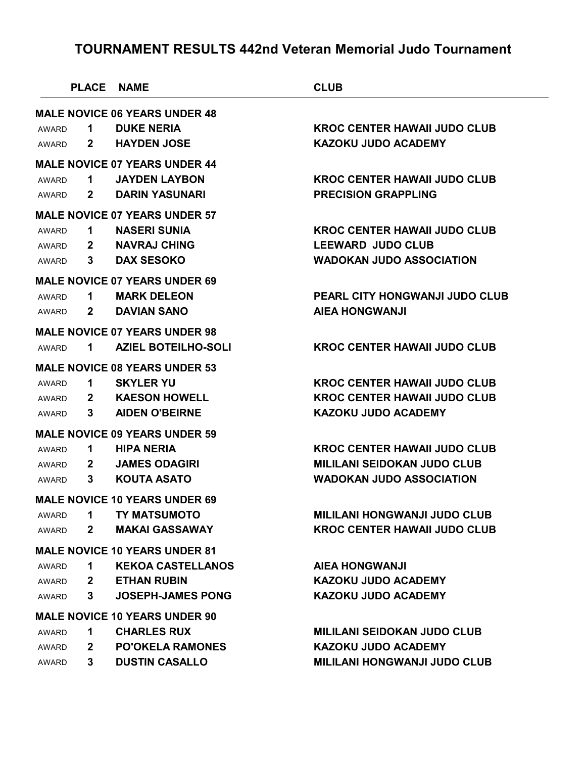|       | <b>PLACE NAME</b> |                                      | <b>CLUB</b>                           |
|-------|-------------------|--------------------------------------|---------------------------------------|
|       |                   | <b>MALE NOVICE 06 YEARS UNDER 48</b> |                                       |
| AWARD | 1.                | <b>DUKE NERIA</b>                    | <b>KROC CENTER HAWAII JUDO CLUB</b>   |
| AWARD | $\mathbf{2}$      | <b>HAYDEN JOSE</b>                   | <b>KAZOKU JUDO ACADEMY</b>            |
|       |                   | <b>MALE NOVICE 07 YEARS UNDER 44</b> |                                       |
| AWARD | 1.                | <b>JAYDEN LAYBON</b>                 | <b>KROC CENTER HAWAII JUDO CLUB</b>   |
| AWARD | $\mathbf{2}$      | <b>DARIN YASUNARI</b>                | <b>PRECISION GRAPPLING</b>            |
|       |                   | <b>MALE NOVICE 07 YEARS UNDER 57</b> |                                       |
| AWARD | 1                 | <b>NASERI SUNIA</b>                  | <b>KROC CENTER HAWAII JUDO CLUB</b>   |
| AWARD | $\mathbf{2}$      | <b>NAVRAJ CHING</b>                  | <b>LEEWARD JUDO CLUB</b>              |
| AWARD | 3                 | <b>DAX SESOKO</b>                    | <b>WADOKAN JUDO ASSOCIATION</b>       |
|       |                   | <b>MALE NOVICE 07 YEARS UNDER 69</b> |                                       |
| AWARD | $\mathbf 1$       | <b>MARK DELEON</b>                   | <b>PEARL CITY HONGWANJI JUDO CLUB</b> |
| AWARD | $\mathbf{2}$      | <b>DAVIAN SANO</b>                   | <b>AIEA HONGWANJI</b>                 |
|       |                   | <b>MALE NOVICE 07 YEARS UNDER 98</b> |                                       |
| AWARD | 1                 | <b>AZIEL BOTEILHO-SOLI</b>           | <b>KROC CENTER HAWAII JUDO CLUB</b>   |
|       |                   | <b>MALE NOVICE 08 YEARS UNDER 53</b> |                                       |
| AWARD | 1                 | <b>SKYLER YU</b>                     | <b>KROC CENTER HAWAII JUDO CLUB</b>   |
| AWARD | 2 <sup>1</sup>    | <b>KAESON HOWELL</b>                 | <b>KROC CENTER HAWAII JUDO CLUB</b>   |
| AWARD | 3                 | <b>AIDEN O'BEIRNE</b>                | <b>KAZOKU JUDO ACADEMY</b>            |
|       |                   | <b>MALE NOVICE 09 YEARS UNDER 59</b> |                                       |
| AWARD | 1                 | <b>HIPA NERIA</b>                    | <b>KROC CENTER HAWAII JUDO CLUB</b>   |
| AWARD | $\mathbf{2}$      | <b>JAMES ODAGIRI</b>                 | <b>MILILANI SEIDOKAN JUDO CLUB</b>    |
| AWARD | 3                 | <b>KOUTA ASATO</b>                   | <b>WADOKAN JUDO ASSOCIATION</b>       |
|       |                   | <b>MALE NOVICE 10 YEARS UNDER 69</b> |                                       |
| AWARD | 1                 | <b>TY MATSUMOTO</b>                  | <b>MILILANI HONGWANJI JUDO CLUB</b>   |
| AWARD | $\mathbf{2}$      | <b>MAKAI GASSAWAY</b>                | <b>KROC CENTER HAWAII JUDO CLUB</b>   |
|       |                   | <b>MALE NOVICE 10 YEARS UNDER 81</b> |                                       |
| AWARD | 1                 | <b>KEKOA CASTELLANOS</b>             | <b>AIEA HONGWANJI</b>                 |
| AWARD | $\mathbf{2}$      | <b>ETHAN RUBIN</b>                   | <b>KAZOKU JUDO ACADEMY</b>            |
| AWARD | 3                 | <b>JOSEPH-JAMES PONG</b>             | <b>KAZOKU JUDO ACADEMY</b>            |
|       |                   | <b>MALE NOVICE 10 YEARS UNDER 90</b> |                                       |
| AWARD | 1                 | <b>CHARLES RUX</b>                   | <b>MILILANI SEIDOKAN JUDO CLUB</b>    |
| AWARD | $\mathbf{2}$      | <b>PO'OKELA RAMONES</b>              | <b>KAZOKU JUDO ACADEMY</b>            |
| AWARD | 3                 | <b>DUSTIN CASALLO</b>                | <b>MILILANI HONGWANJI JUDO CLUB</b>   |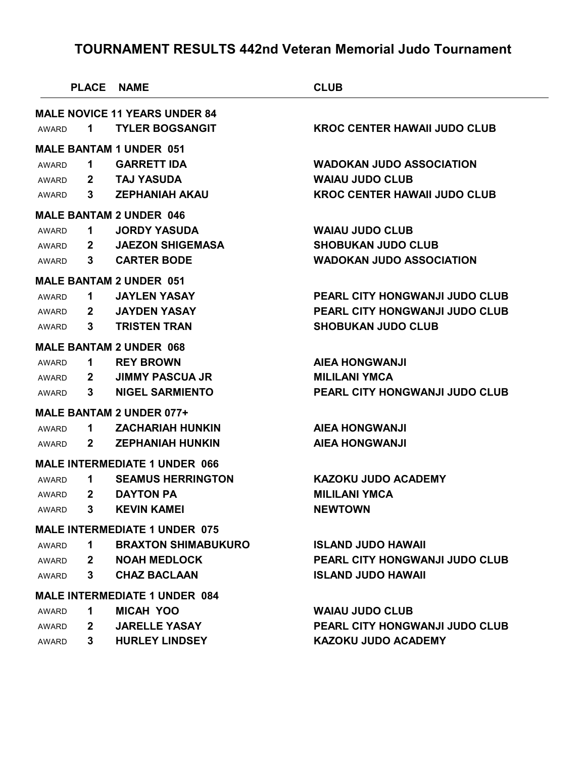|       |              | <b>PLACE NAME</b>                    | <b>CLUB</b>                           |
|-------|--------------|--------------------------------------|---------------------------------------|
|       |              | <b>MALE NOVICE 11 YEARS UNDER 84</b> |                                       |
| AWARD | 1            | <b>TYLER BOGSANGIT</b>               | <b>KROC CENTER HAWAII JUDO CLUB</b>   |
|       |              | <b>MALE BANTAM 1 UNDER 051</b>       |                                       |
| AWARD | 1            | <b>GARRETT IDA</b>                   | <b>WADOKAN JUDO ASSOCIATION</b>       |
| AWARD | $\mathbf{2}$ | <b>TAJ YASUDA</b>                    | <b>WAIAU JUDO CLUB</b>                |
| AWARD | 3            | <b>ZEPHANIAH AKAU</b>                | <b>KROC CENTER HAWAII JUDO CLUB</b>   |
|       |              | <b>MALE BANTAM 2 UNDER 046</b>       |                                       |
| AWARD | 1.           | <b>JORDY YASUDA</b>                  | <b>WAIAU JUDO CLUB</b>                |
| AWARD | $\mathbf{2}$ | <b>JAEZON SHIGEMASA</b>              | <b>SHOBUKAN JUDO CLUB</b>             |
| AWARD | 3.           | <b>CARTER BODE</b>                   | <b>WADOKAN JUDO ASSOCIATION</b>       |
|       |              | <b>MALE BANTAM 2 UNDER 051</b>       |                                       |
| AWARD | 1.           | <b>JAYLEN YASAY</b>                  | PEARL CITY HONGWANJI JUDO CLUB        |
| AWARD | $\mathbf{2}$ | <b>JAYDEN YASAY</b>                  | PEARL CITY HONGWANJI JUDO CLUB        |
| AWARD | 3            | <b>TRISTEN TRAN</b>                  | <b>SHOBUKAN JUDO CLUB</b>             |
|       |              | <b>MALE BANTAM 2 UNDER 068</b>       |                                       |
| AWARD | 1.           | <b>REY BROWN</b>                     | <b>AIEA HONGWANJI</b>                 |
| AWARD | $\mathbf{2}$ | <b>JIMMY PASCUA JR</b>               | <b>MILILANI YMCA</b>                  |
| AWARD | 3            | <b>NIGEL SARMIENTO</b>               | PEARL CITY HONGWANJI JUDO CLUB        |
|       |              | <b>MALE BANTAM 2 UNDER 077+</b>      |                                       |
| AWARD | 1.           | <b>ZACHARIAH HUNKIN</b>              | <b>AIEA HONGWANJI</b>                 |
| AWARD | $\mathbf{2}$ | <b>ZEPHANIAH HUNKIN</b>              | <b>AIEA HONGWANJI</b>                 |
|       |              | <b>MALE INTERMEDIATE 1 UNDER 066</b> |                                       |
| AWARD | 1            | <b>SEAMUS HERRINGTON</b>             | <b>KAZOKU JUDO ACADEMY</b>            |
| AWARD | $\mathbf{2}$ | <b>DAYTON PA</b>                     | <b>MILILANI YMCA</b>                  |
| AWARD | 3            | <b>KEVIN KAMEI</b>                   | <b>NEWTOWN</b>                        |
|       |              | <b>MALE INTERMEDIATE 1 UNDER 075</b> |                                       |
| AWARD | 1.           | <b>BRAXTON SHIMABUKURO</b>           | <b>ISLAND JUDO HAWAII</b>             |
| AWARD | $\mathbf{2}$ | <b>NOAH MEDLOCK</b>                  | <b>PEARL CITY HONGWANJI JUDO CLUB</b> |
| AWARD | 3.           | <b>CHAZ BACLAAN</b>                  | <b>ISLAND JUDO HAWAII</b>             |
|       |              | <b>MALE INTERMEDIATE 1 UNDER 084</b> |                                       |
| AWARD | 1.           | <b>MICAH YOO</b>                     | <b>WAIAU JUDO CLUB</b>                |
| AWARD | $\mathbf{2}$ | <b>JARELLE YASAY</b>                 | <b>PEARL CITY HONGWANJI JUDO CLUB</b> |
| AWARD | 3.           | <b>HURLEY LINDSEY</b>                | <b>KAZOKU JUDO ACADEMY</b>            |
|       |              |                                      |                                       |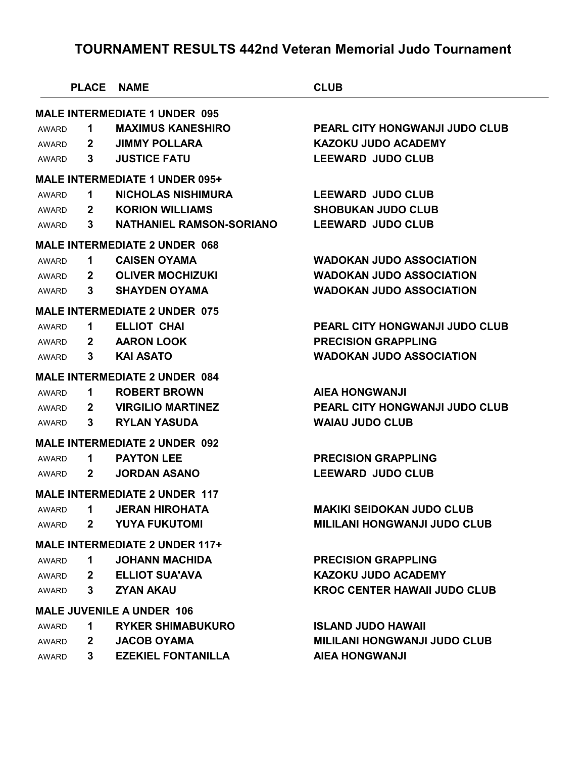| <b>MALE INTERMEDIATE 1 UNDER 095</b><br><b>MAXIMUS KANESHIRO</b><br>PEARL CITY HONGWANJI JUDO CLUB<br>1<br>AWARD<br><b>JIMMY POLLARA</b><br><b>KAZOKU JUDO ACADEMY</b><br>AWARD<br>$\mathbf{z}$<br><b>JUSTICE FATU</b><br><b>LEEWARD JUDO CLUB</b><br>3<br>AWARD<br><b>MALE INTERMEDIATE 1 UNDER 095+</b><br><b>NICHOLAS NISHIMURA</b><br><b>LEEWARD JUDO CLUB</b><br>1<br>AWARD<br><b>KORION WILLIAMS</b><br><b>SHOBUKAN JUDO CLUB</b><br>$\mathbf{z}$<br>AWARD<br><b>LEEWARD JUDO CLUB</b><br><b>NATHANIEL RAMSON-SORIANO</b><br>3.<br>AWARD<br><b>MALE INTERMEDIATE 2 UNDER 068</b><br><b>CAISEN OYAMA</b><br><b>WADOKAN JUDO ASSOCIATION</b><br>1<br>AWARD<br><b>OLIVER MOCHIZUKI</b><br><b>WADOKAN JUDO ASSOCIATION</b><br>$\mathbf{2}$<br>AWARD<br><b>SHAYDEN OYAMA</b><br><b>WADOKAN JUDO ASSOCIATION</b><br>3<br>AWARD<br><b>MALE INTERMEDIATE 2 UNDER 075</b><br><b>ELLIOT CHAI</b><br>PEARL CITY HONGWANJI JUDO CLUB<br>1<br>AWARD<br><b>AARON LOOK</b><br><b>PRECISION GRAPPLING</b><br>$\mathbf{2}$<br>AWARD<br><b>KAI ASATO</b><br><b>WADOKAN JUDO ASSOCIATION</b><br>3<br>AWARD<br><b>MALE INTERMEDIATE 2 UNDER 084</b><br><b>ROBERT BROWN</b><br><b>AIEA HONGWANJI</b><br>1<br>AWARD<br><b>VIRGILIO MARTINEZ</b><br>PEARL CITY HONGWANJI JUDO CLUB<br>$\mathbf{2}$<br>AWARD<br><b>RYLAN YASUDA</b><br><b>WAIAU JUDO CLUB</b><br>3<br>AWARD<br><b>MALE INTERMEDIATE 2 UNDER 092</b><br><b>PAYTON LEE</b><br><b>PRECISION GRAPPLING</b><br>1<br>AWARD<br><b>LEEWARD JUDO CLUB</b><br><b>JORDAN ASANO</b><br>$\mathbf{2}$<br>AWARD<br><b>MALE INTERMEDIATE 2 UNDER 117</b><br><b>MAKIKI SEIDOKAN JUDO CLUB</b><br>AWARD<br>1.<br>JERAN HIROHATA<br><b>YUYA FUKUTOMI</b><br><b>MILILANI HONGWANJI JUDO CLUB</b><br>$\mathbf{2}$<br>AWARD<br><b>MALE INTERMEDIATE 2 UNDER 117+</b><br><b>JOHANN MACHIDA</b><br><b>PRECISION GRAPPLING</b><br>1.<br>AWARD<br><b>ELLIOT SUA'AVA</b><br><b>KAZOKU JUDO ACADEMY</b><br>$\mathbf{2}$<br>AWARD<br><b>KROC CENTER HAWAII JUDO CLUB</b><br><b>ZYAN AKAU</b><br>3<br>AWARD<br><b>MALE JUVENILE A UNDER 106</b><br><b>ISLAND JUDO HAWAII</b><br><b>RYKER SHIMABUKURO</b><br>1.<br>AWARD<br><b>JACOB OYAMA</b><br><b>MILILANI HONGWANJI JUDO CLUB</b><br>$\mathbf{2}$<br>AWARD<br><b>EZEKIEL FONTANILLA</b><br><b>AIEA HONGWANJI</b><br>3.<br>AWARD |  | PLACE NAME | <b>CLUB</b> |
|----------------------------------------------------------------------------------------------------------------------------------------------------------------------------------------------------------------------------------------------------------------------------------------------------------------------------------------------------------------------------------------------------------------------------------------------------------------------------------------------------------------------------------------------------------------------------------------------------------------------------------------------------------------------------------------------------------------------------------------------------------------------------------------------------------------------------------------------------------------------------------------------------------------------------------------------------------------------------------------------------------------------------------------------------------------------------------------------------------------------------------------------------------------------------------------------------------------------------------------------------------------------------------------------------------------------------------------------------------------------------------------------------------------------------------------------------------------------------------------------------------------------------------------------------------------------------------------------------------------------------------------------------------------------------------------------------------------------------------------------------------------------------------------------------------------------------------------------------------------------------------------------------------------------------------------------------------------------------------------------------------------------------------------------------------------------------------------------------------------------------------------------------------------------------------------------------------------------------------------------------------------------------------------------------|--|------------|-------------|
|                                                                                                                                                                                                                                                                                                                                                                                                                                                                                                                                                                                                                                                                                                                                                                                                                                                                                                                                                                                                                                                                                                                                                                                                                                                                                                                                                                                                                                                                                                                                                                                                                                                                                                                                                                                                                                                                                                                                                                                                                                                                                                                                                                                                                                                                                                    |  |            |             |
|                                                                                                                                                                                                                                                                                                                                                                                                                                                                                                                                                                                                                                                                                                                                                                                                                                                                                                                                                                                                                                                                                                                                                                                                                                                                                                                                                                                                                                                                                                                                                                                                                                                                                                                                                                                                                                                                                                                                                                                                                                                                                                                                                                                                                                                                                                    |  |            |             |
|                                                                                                                                                                                                                                                                                                                                                                                                                                                                                                                                                                                                                                                                                                                                                                                                                                                                                                                                                                                                                                                                                                                                                                                                                                                                                                                                                                                                                                                                                                                                                                                                                                                                                                                                                                                                                                                                                                                                                                                                                                                                                                                                                                                                                                                                                                    |  |            |             |
|                                                                                                                                                                                                                                                                                                                                                                                                                                                                                                                                                                                                                                                                                                                                                                                                                                                                                                                                                                                                                                                                                                                                                                                                                                                                                                                                                                                                                                                                                                                                                                                                                                                                                                                                                                                                                                                                                                                                                                                                                                                                                                                                                                                                                                                                                                    |  |            |             |
|                                                                                                                                                                                                                                                                                                                                                                                                                                                                                                                                                                                                                                                                                                                                                                                                                                                                                                                                                                                                                                                                                                                                                                                                                                                                                                                                                                                                                                                                                                                                                                                                                                                                                                                                                                                                                                                                                                                                                                                                                                                                                                                                                                                                                                                                                                    |  |            |             |
|                                                                                                                                                                                                                                                                                                                                                                                                                                                                                                                                                                                                                                                                                                                                                                                                                                                                                                                                                                                                                                                                                                                                                                                                                                                                                                                                                                                                                                                                                                                                                                                                                                                                                                                                                                                                                                                                                                                                                                                                                                                                                                                                                                                                                                                                                                    |  |            |             |
|                                                                                                                                                                                                                                                                                                                                                                                                                                                                                                                                                                                                                                                                                                                                                                                                                                                                                                                                                                                                                                                                                                                                                                                                                                                                                                                                                                                                                                                                                                                                                                                                                                                                                                                                                                                                                                                                                                                                                                                                                                                                                                                                                                                                                                                                                                    |  |            |             |
|                                                                                                                                                                                                                                                                                                                                                                                                                                                                                                                                                                                                                                                                                                                                                                                                                                                                                                                                                                                                                                                                                                                                                                                                                                                                                                                                                                                                                                                                                                                                                                                                                                                                                                                                                                                                                                                                                                                                                                                                                                                                                                                                                                                                                                                                                                    |  |            |             |
|                                                                                                                                                                                                                                                                                                                                                                                                                                                                                                                                                                                                                                                                                                                                                                                                                                                                                                                                                                                                                                                                                                                                                                                                                                                                                                                                                                                                                                                                                                                                                                                                                                                                                                                                                                                                                                                                                                                                                                                                                                                                                                                                                                                                                                                                                                    |  |            |             |
|                                                                                                                                                                                                                                                                                                                                                                                                                                                                                                                                                                                                                                                                                                                                                                                                                                                                                                                                                                                                                                                                                                                                                                                                                                                                                                                                                                                                                                                                                                                                                                                                                                                                                                                                                                                                                                                                                                                                                                                                                                                                                                                                                                                                                                                                                                    |  |            |             |
|                                                                                                                                                                                                                                                                                                                                                                                                                                                                                                                                                                                                                                                                                                                                                                                                                                                                                                                                                                                                                                                                                                                                                                                                                                                                                                                                                                                                                                                                                                                                                                                                                                                                                                                                                                                                                                                                                                                                                                                                                                                                                                                                                                                                                                                                                                    |  |            |             |
|                                                                                                                                                                                                                                                                                                                                                                                                                                                                                                                                                                                                                                                                                                                                                                                                                                                                                                                                                                                                                                                                                                                                                                                                                                                                                                                                                                                                                                                                                                                                                                                                                                                                                                                                                                                                                                                                                                                                                                                                                                                                                                                                                                                                                                                                                                    |  |            |             |
|                                                                                                                                                                                                                                                                                                                                                                                                                                                                                                                                                                                                                                                                                                                                                                                                                                                                                                                                                                                                                                                                                                                                                                                                                                                                                                                                                                                                                                                                                                                                                                                                                                                                                                                                                                                                                                                                                                                                                                                                                                                                                                                                                                                                                                                                                                    |  |            |             |
|                                                                                                                                                                                                                                                                                                                                                                                                                                                                                                                                                                                                                                                                                                                                                                                                                                                                                                                                                                                                                                                                                                                                                                                                                                                                                                                                                                                                                                                                                                                                                                                                                                                                                                                                                                                                                                                                                                                                                                                                                                                                                                                                                                                                                                                                                                    |  |            |             |
|                                                                                                                                                                                                                                                                                                                                                                                                                                                                                                                                                                                                                                                                                                                                                                                                                                                                                                                                                                                                                                                                                                                                                                                                                                                                                                                                                                                                                                                                                                                                                                                                                                                                                                                                                                                                                                                                                                                                                                                                                                                                                                                                                                                                                                                                                                    |  |            |             |
|                                                                                                                                                                                                                                                                                                                                                                                                                                                                                                                                                                                                                                                                                                                                                                                                                                                                                                                                                                                                                                                                                                                                                                                                                                                                                                                                                                                                                                                                                                                                                                                                                                                                                                                                                                                                                                                                                                                                                                                                                                                                                                                                                                                                                                                                                                    |  |            |             |
|                                                                                                                                                                                                                                                                                                                                                                                                                                                                                                                                                                                                                                                                                                                                                                                                                                                                                                                                                                                                                                                                                                                                                                                                                                                                                                                                                                                                                                                                                                                                                                                                                                                                                                                                                                                                                                                                                                                                                                                                                                                                                                                                                                                                                                                                                                    |  |            |             |
|                                                                                                                                                                                                                                                                                                                                                                                                                                                                                                                                                                                                                                                                                                                                                                                                                                                                                                                                                                                                                                                                                                                                                                                                                                                                                                                                                                                                                                                                                                                                                                                                                                                                                                                                                                                                                                                                                                                                                                                                                                                                                                                                                                                                                                                                                                    |  |            |             |
|                                                                                                                                                                                                                                                                                                                                                                                                                                                                                                                                                                                                                                                                                                                                                                                                                                                                                                                                                                                                                                                                                                                                                                                                                                                                                                                                                                                                                                                                                                                                                                                                                                                                                                                                                                                                                                                                                                                                                                                                                                                                                                                                                                                                                                                                                                    |  |            |             |
|                                                                                                                                                                                                                                                                                                                                                                                                                                                                                                                                                                                                                                                                                                                                                                                                                                                                                                                                                                                                                                                                                                                                                                                                                                                                                                                                                                                                                                                                                                                                                                                                                                                                                                                                                                                                                                                                                                                                                                                                                                                                                                                                                                                                                                                                                                    |  |            |             |
|                                                                                                                                                                                                                                                                                                                                                                                                                                                                                                                                                                                                                                                                                                                                                                                                                                                                                                                                                                                                                                                                                                                                                                                                                                                                                                                                                                                                                                                                                                                                                                                                                                                                                                                                                                                                                                                                                                                                                                                                                                                                                                                                                                                                                                                                                                    |  |            |             |
|                                                                                                                                                                                                                                                                                                                                                                                                                                                                                                                                                                                                                                                                                                                                                                                                                                                                                                                                                                                                                                                                                                                                                                                                                                                                                                                                                                                                                                                                                                                                                                                                                                                                                                                                                                                                                                                                                                                                                                                                                                                                                                                                                                                                                                                                                                    |  |            |             |
|                                                                                                                                                                                                                                                                                                                                                                                                                                                                                                                                                                                                                                                                                                                                                                                                                                                                                                                                                                                                                                                                                                                                                                                                                                                                                                                                                                                                                                                                                                                                                                                                                                                                                                                                                                                                                                                                                                                                                                                                                                                                                                                                                                                                                                                                                                    |  |            |             |
|                                                                                                                                                                                                                                                                                                                                                                                                                                                                                                                                                                                                                                                                                                                                                                                                                                                                                                                                                                                                                                                                                                                                                                                                                                                                                                                                                                                                                                                                                                                                                                                                                                                                                                                                                                                                                                                                                                                                                                                                                                                                                                                                                                                                                                                                                                    |  |            |             |
|                                                                                                                                                                                                                                                                                                                                                                                                                                                                                                                                                                                                                                                                                                                                                                                                                                                                                                                                                                                                                                                                                                                                                                                                                                                                                                                                                                                                                                                                                                                                                                                                                                                                                                                                                                                                                                                                                                                                                                                                                                                                                                                                                                                                                                                                                                    |  |            |             |
|                                                                                                                                                                                                                                                                                                                                                                                                                                                                                                                                                                                                                                                                                                                                                                                                                                                                                                                                                                                                                                                                                                                                                                                                                                                                                                                                                                                                                                                                                                                                                                                                                                                                                                                                                                                                                                                                                                                                                                                                                                                                                                                                                                                                                                                                                                    |  |            |             |
|                                                                                                                                                                                                                                                                                                                                                                                                                                                                                                                                                                                                                                                                                                                                                                                                                                                                                                                                                                                                                                                                                                                                                                                                                                                                                                                                                                                                                                                                                                                                                                                                                                                                                                                                                                                                                                                                                                                                                                                                                                                                                                                                                                                                                                                                                                    |  |            |             |
|                                                                                                                                                                                                                                                                                                                                                                                                                                                                                                                                                                                                                                                                                                                                                                                                                                                                                                                                                                                                                                                                                                                                                                                                                                                                                                                                                                                                                                                                                                                                                                                                                                                                                                                                                                                                                                                                                                                                                                                                                                                                                                                                                                                                                                                                                                    |  |            |             |
|                                                                                                                                                                                                                                                                                                                                                                                                                                                                                                                                                                                                                                                                                                                                                                                                                                                                                                                                                                                                                                                                                                                                                                                                                                                                                                                                                                                                                                                                                                                                                                                                                                                                                                                                                                                                                                                                                                                                                                                                                                                                                                                                                                                                                                                                                                    |  |            |             |
|                                                                                                                                                                                                                                                                                                                                                                                                                                                                                                                                                                                                                                                                                                                                                                                                                                                                                                                                                                                                                                                                                                                                                                                                                                                                                                                                                                                                                                                                                                                                                                                                                                                                                                                                                                                                                                                                                                                                                                                                                                                                                                                                                                                                                                                                                                    |  |            |             |
|                                                                                                                                                                                                                                                                                                                                                                                                                                                                                                                                                                                                                                                                                                                                                                                                                                                                                                                                                                                                                                                                                                                                                                                                                                                                                                                                                                                                                                                                                                                                                                                                                                                                                                                                                                                                                                                                                                                                                                                                                                                                                                                                                                                                                                                                                                    |  |            |             |
|                                                                                                                                                                                                                                                                                                                                                                                                                                                                                                                                                                                                                                                                                                                                                                                                                                                                                                                                                                                                                                                                                                                                                                                                                                                                                                                                                                                                                                                                                                                                                                                                                                                                                                                                                                                                                                                                                                                                                                                                                                                                                                                                                                                                                                                                                                    |  |            |             |
|                                                                                                                                                                                                                                                                                                                                                                                                                                                                                                                                                                                                                                                                                                                                                                                                                                                                                                                                                                                                                                                                                                                                                                                                                                                                                                                                                                                                                                                                                                                                                                                                                                                                                                                                                                                                                                                                                                                                                                                                                                                                                                                                                                                                                                                                                                    |  |            |             |
|                                                                                                                                                                                                                                                                                                                                                                                                                                                                                                                                                                                                                                                                                                                                                                                                                                                                                                                                                                                                                                                                                                                                                                                                                                                                                                                                                                                                                                                                                                                                                                                                                                                                                                                                                                                                                                                                                                                                                                                                                                                                                                                                                                                                                                                                                                    |  |            |             |